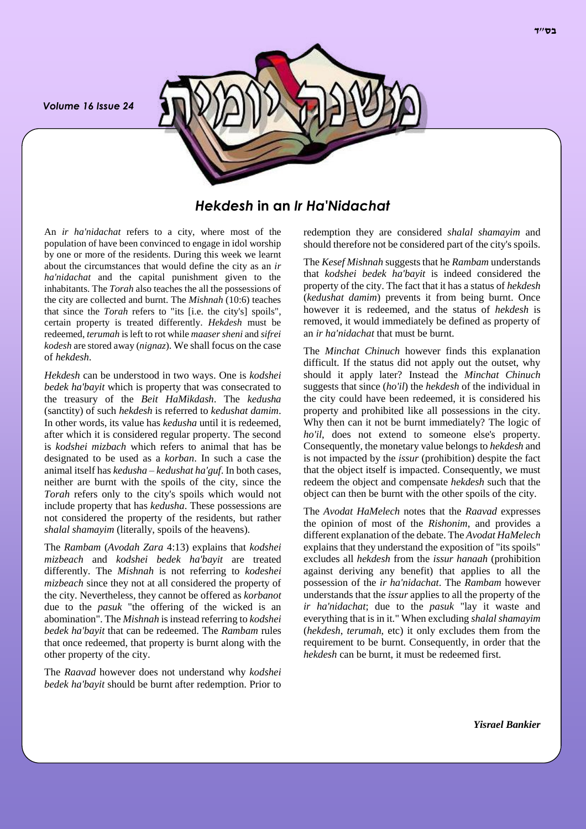*Volume 16 Issue 24*



*Hekdesh* **in an** *Ir Ha'Nidachat*

An *ir ha'nidachat* refers to a city, where most of the population of have been convinced to engage in idol worship by one or more of the residents. During this week we learnt about the circumstances that would define the city as an *ir ha'nidachat* and the capital punishment given to the inhabitants. The *Torah* also teaches the all the possessions of the city are collected and burnt. The *Mishnah* (10:6) teaches that since the *Torah* refers to "its [i.e. the city's] spoils", certain property is treated differently. *Hekdesh* must be redeemed, *terumah* is left to rot while *maaser sheni* and *sifrei kodesh* are stored away (*nignaz*). We shall focus on the case of *hekdesh*.

*Hekdesh* can be understood in two ways. One is *kodshei bedek ha'bayit* which is property that was consecrated to the treasury of the *Beit HaMikdash*. The *kedusha*  (sanctity) of such *hekdesh* is referred to *kedushat damim*. In other words, its value has *kedusha* until it is redeemed, after which it is considered regular property. The second is *kodshei mizbach* which refers to animal that has be designated to be used as a *korban*. In such a case the animal itself has *kedusha* – *kedushat ha'guf*. In both cases, neither are burnt with the spoils of the city, since the *Torah* refers only to the city's spoils which would not include property that has *kedusha*. These possessions are not considered the property of the residents, but rather *shalal shamayim* (literally, spoils of the heavens).

The *Rambam* (*Avodah Zara* 4:13) explains that *kodshei mizbeach* and *kodshei bedek ha'bayit* are treated differently. The *Mishnah* is not referring to *kodeshei mizbeach* since they not at all considered the property of the city. Nevertheless, they cannot be offered as *korbanot* due to the *pasuk* "the offering of the wicked is an abomination". The *Mishnah* is instead referring to *kodshei bedek ha'bayit* that can be redeemed. The *Rambam* rules that once redeemed, that property is burnt along with the other property of the city.

The *Raavad* however does not understand why *kodshei bedek ha'bayit* should be burnt after redemption. Prior to redemption they are considered *shalal shamayim* and should therefore not be considered part of the city's spoils.

The *Kesef Mishnah* suggests that he *Rambam* understands that *kodshei bedek ha'bayit* is indeed considered the property of the city. The fact that it has a status of *hekdesh* (*kedushat damim*) prevents it from being burnt. Once however it is redeemed, and the status of *hekdesh* is removed, it would immediately be defined as property of an *ir ha'nidachat* that must be burnt.

The *Minchat Chinuch* however finds this explanation difficult. If the status did not apply out the outset, why should it apply later? Instead the *Minchat Chinuch* suggests that since (*ho'il*) the *hekdesh* of the individual in the city could have been redeemed, it is considered his property and prohibited like all possessions in the city. Why then can it not be burnt immediately? The logic of *ho'il*, does not extend to someone else's property. Consequently, the monetary value belongs to *hekdesh* and is not impacted by the *issur* (prohibition) despite the fact that the object itself is impacted. Consequently, we must redeem the object and compensate *hekdesh* such that the object can then be burnt with the other spoils of the city.

The *Avodat HaMelech* notes that the *Raavad* expresses the opinion of most of the *Rishonim*, and provides a different explanation of the debate. The *Avodat HaMelech* explains that they understand the exposition of "its spoils" excludes all *hekdesh* from the *issur hanaah* (prohibition against deriving any benefit) that applies to all the possession of the *ir ha'nidachat*. The *Rambam* however understands that the *issur* applies to all the property of the *ir ha'nidachat*; due to the *pasuk* "lay it waste and everything that is in it." When excluding *shalal shamayim* (*hekdesh*, *terumah*, etc) it only excludes them from the requirement to be burnt. Consequently, in order that the *hekdesh* can be burnt, it must be redeemed first.